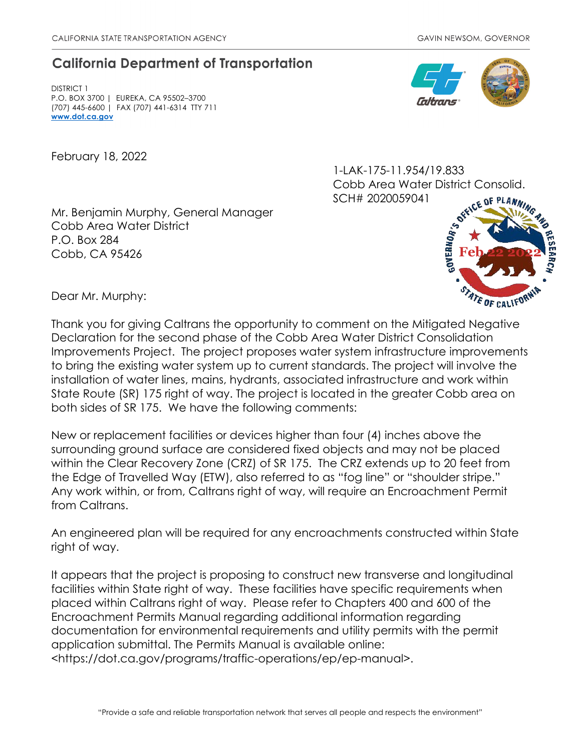## **California Department of Transportation**

DISTRICT 1 P.O. BOX 3700 | EUREKA, CA 95502–3700 (707) 445-6600 | FAX (707) 441-6314 TTY 711 **[www.dot.ca.gov](http://www.dot.ca.gov/)**

February 18, 2022



1-LAK-175-11.954/19.833 Cobb Area Water District Consolid. SCH# 2020059041

Mr. Benjamin Murphy, General Manager Cobb Area Water District P.O. Box 284 Cobb, CA 95426



Dear Mr. Murphy:

Thank you for giving Caltrans the opportunity to comment on the Mitigated Negative Declaration for the second phase of the Cobb Area Water District Consolidation Improvements Project. The project proposes water system infrastructure improvements to bring the existing water system up to current standards. The project will involve the installation of water lines, mains, hydrants, associated infrastructure and work within State Route (SR) 175 right of way. The project is located in the greater Cobb area on both sides of SR 175. We have the following comments:

New or replacement facilities or devices higher than four (4) inches above the surrounding ground surface are considered fixed objects and may not be placed within the Clear Recovery Zone (CRZ) of SR 175. The CRZ extends up to 20 feet from the Edge of Travelled Way (ETW), also referred to as "fog line" or "shoulder stripe." Any work within, or from, Caltrans right of way, will require an Encroachment Permit from Caltrans.

An engineered plan will be required for any encroachments constructed within State right of way.

It appears that the project is proposing to construct new transverse and longitudinal facilities within State right of way. These facilities have specific requirements when placed within Caltrans right of way. Please refer to Chapters 400 and 600 of the Encroachment Permits Manual regarding additional information regarding documentation for environmental requirements and utility permits with the permit application submittal. The Permits Manual is available online: <https://dot.ca.gov/programs/traffic-operations/ep/ep-manual>.